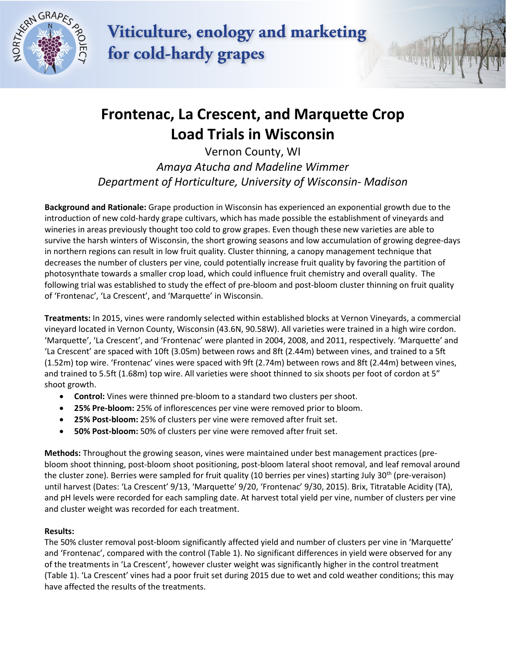

Viticulture, enology and marketing for cold-hardy grapes

## **Frontenac, La Crescent, and Marquette Crop Load Trials in Wisconsin**

Vernon County, WI *Amaya Atucha and Madeline Wimmer Department of Horticulture, University of Wisconsin- Madison* 

**Background and Rationale:** Grape production in Wisconsin has experienced an exponential growth due to the introduction of new cold-hardy grape cultivars, which has made possible the establishment of vineyards and wineries in areas previously thought too cold to grow grapes. Even though these new varieties are able to survive the harsh winters of Wisconsin, the short growing seasons and low accumulation of growing degree-days in northern regions can result in low fruit quality. Cluster thinning, a canopy management technique that decreases the number of clusters per vine, could potentially increase fruit quality by favoring the partition of photosynthate towards a smaller crop load, which could influence fruit chemistry and overall quality. The following trial was established to study the effect of pre-bloom and post-bloom cluster thinning on fruit quality of 'Frontenac', 'La Crescent', and 'Marquette' in Wisconsin.

**Treatments:** In 2015, vines were randomly selected within established blocks at Vernon Vineyards, a commercial vineyard located in Vernon County, Wisconsin (43.6N, 90.58W). All varieties were trained in a high wire cordon. 'Marquette', 'La Crescent', and 'Frontenac' were planted in 2004, 2008, and 2011, respectively. 'Marquette' and 'La Crescent' are spaced with 10ft (3.05m) between rows and 8ft (2.44m) between vines, and trained to a 5ft (1.52m) top wire. 'Frontenac' vines were spaced with 9ft (2.74m) between rows and 8ft (2.44m) between vines, and trained to 5.5ft (1.68m) top wire. All varieties were shoot thinned to six shoots per foot of cordon at 5" shoot growth.

- **Control:** Vines were thinned pre-bloom to a standard two clusters per shoot.
- **25% Pre-bloom:** 25% of inflorescences per vine were removed prior to bloom.
- **25% Post-bloom:** 25% of clusters per vine were removed after fruit set.
- **50% Post-bloom:** 50% of clusters per vine were removed after fruit set.

**Methods:** Throughout the growing season, vines were maintained under best management practices (prebloom shoot thinning, post-bloom shoot positioning, post-bloom lateral shoot removal, and leaf removal around the cluster zone). Berries were sampled for fruit quality (10 berries per vines) starting July 30<sup>th</sup> (pre-veraison) until harvest (Dates: 'La Crescent' 9/13, 'Marquette' 9/20, 'Frontenac' 9/30, 2015). Brix, Titratable Acidity (TA), and pH levels were recorded for each sampling date. At harvest total yield per vine, number of clusters per vine and cluster weight was recorded for each treatment.

## **Results:**

The 50% cluster removal post-bloom significantly affected yield and number of clusters per vine in 'Marquette' and 'Frontenac', compared with the control (Table 1). No significant differences in yield were observed for any of the treatments in 'La Crescent', however cluster weight was significantly higher in the control treatment (Table 1). 'La Crescent' vines had a poor fruit set during 2015 due to wet and cold weather conditions; this may have affected the results of the treatments.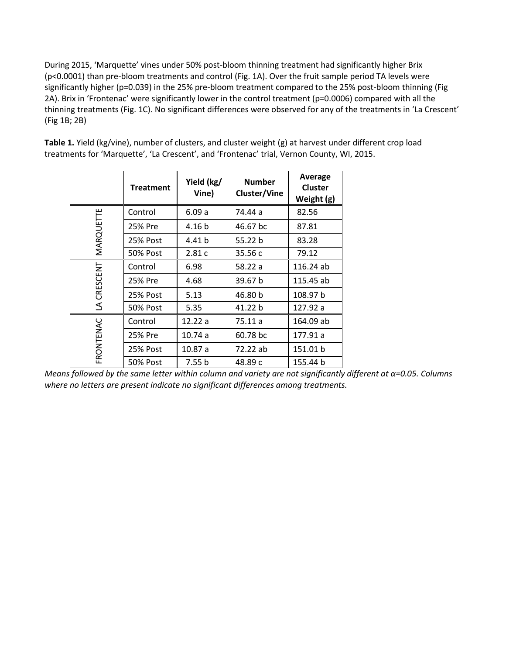During 2015, 'Marquette' vines under 50% post-bloom thinning treatment had significantly higher Brix (p<0.0001) than pre-bloom treatments and control (Fig. 1A). Over the fruit sample period TA levels were significantly higher (p=0.039) in the 25% pre-bloom treatment compared to the 25% post-bloom thinning (Fig 2A). Brix in 'Frontenac' were significantly lower in the control treatment (p=0.0006) compared with all the thinning treatments (Fig. 1C). No significant differences were observed for any of the treatments in 'La Crescent' (Fig 1B; 2B)

**Table 1.** Yield (kg/vine), number of clusters, and cluster weight (g) at harvest under different crop load treatments for 'Marquette', 'La Crescent', and 'Frontenac' trial, Vernon County, WI, 2015.

|             | <b>Treatment</b> | Yield (kg/<br>Vine) | <b>Number</b><br>Cluster/Vine | <b>Average</b><br><b>Cluster</b><br>Weight (g) |
|-------------|------------------|---------------------|-------------------------------|------------------------------------------------|
| MARQUETTE   | Control          | 6.09a               | 74.44 a                       | 82.56                                          |
|             | 25% Pre          | 4.16 b              | 46.67 bc                      | 87.81                                          |
|             | 25% Post         | 4.41 b              | 55.22 b                       | 83.28                                          |
|             | <b>50% Post</b>  | 2.81c               | 35.56 c                       | 79.12                                          |
| LA CRESCENT | Control          | 6.98                | 58.22 a                       | 116.24 ab                                      |
|             | 25% Pre          | 4.68                | 39.67 b                       | 115.45 ab                                      |
|             | 25% Post         | 5.13                | 46.80 b                       | 108.97 b                                       |
|             | <b>50% Post</b>  | 5.35                | 41.22 b                       | 127.92 a                                       |
| FRONTENAC   | Control          | 12.22 a             | 75.11 a                       | 164.09 ab                                      |
|             | 25% Pre          | 10.74a              | 60.78 bc                      | 177.91 a                                       |
|             | 25% Post         | 10.87 a             | 72.22 ab                      | 151.01 b                                       |
|             | <b>50% Post</b>  | 7.55 b              | 48.89 c                       | 155.44 b                                       |

*Means followed by the same letter within column and variety are not significantly different at α=0.05. Columns where no letters are present indicate no significant differences among treatments.*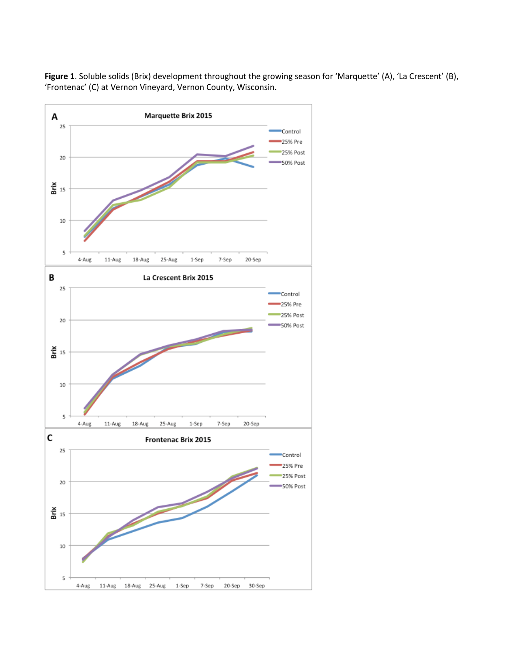

**Figure 1**. Soluble solids (Brix) development throughout the growing season for 'Marquette' (A), 'La Crescent' (B), 'Frontenac' (C) at Vernon Vineyard, Vernon County, Wisconsin.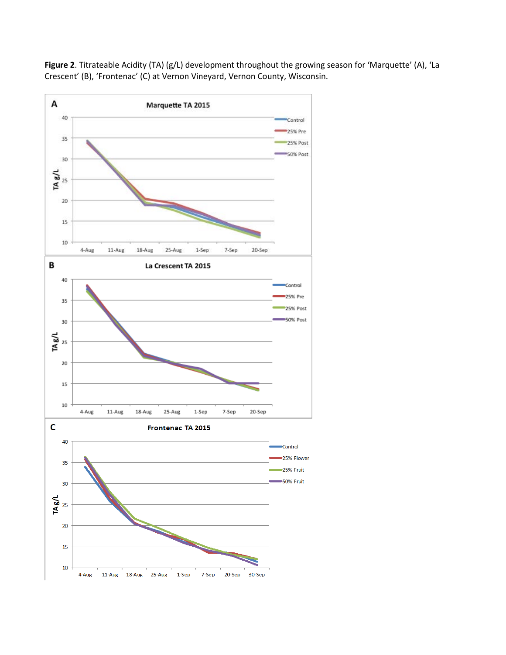

**Figure 2**. Titrateable Acidity (TA) (g/L) development throughout the growing season for 'Marquette' (A), 'La Crescent' (B), 'Frontenac' (C) at Vernon Vineyard, Vernon County, Wisconsin.